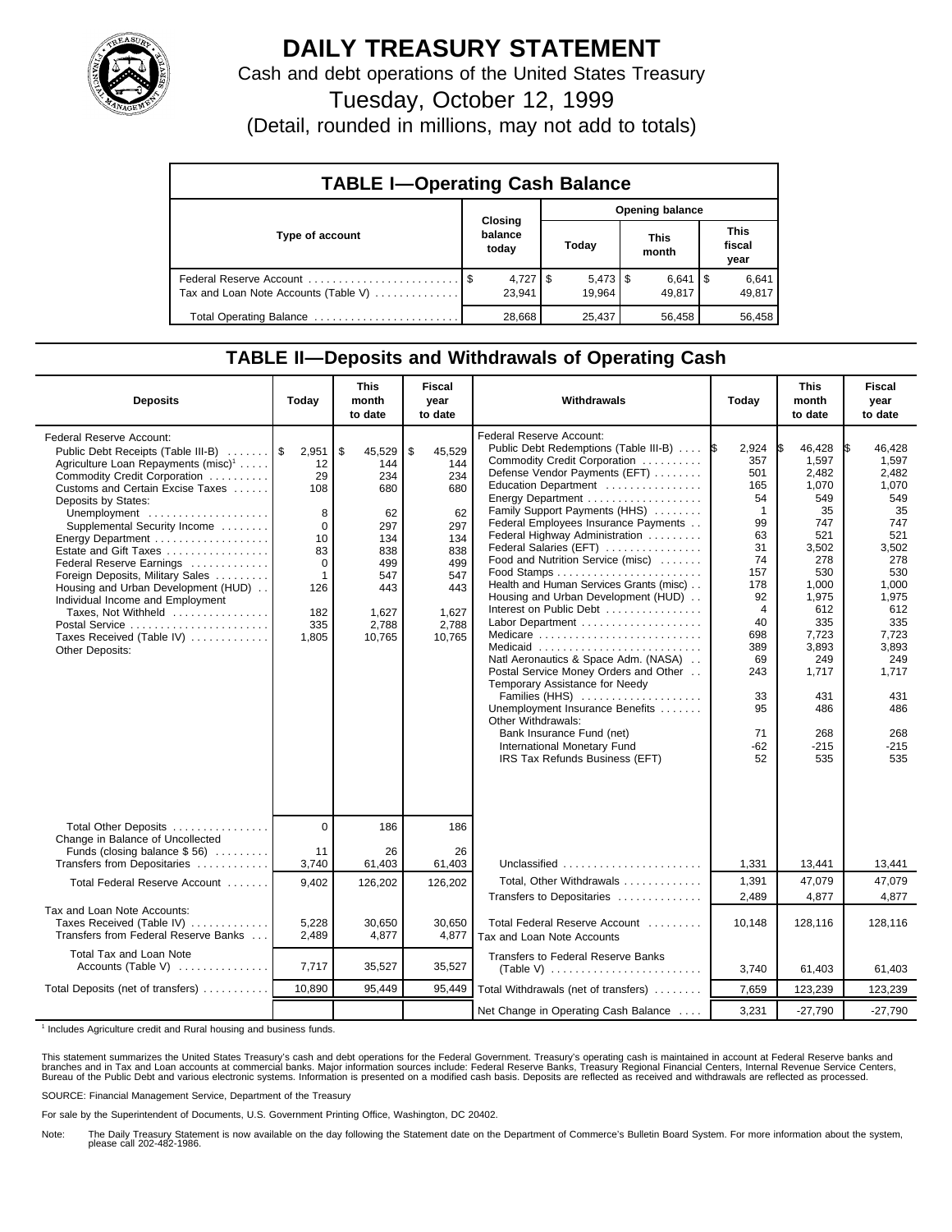

## **DAILY TREASURY STATEMENT**

Cash and debt operations of the United States Treasury

Tuesday, October 12, 1999

(Detail, rounded in millions, may not add to totals)

| <b>TABLE I-Operating Cash Balance</b> |  |                                 |  |                                 |  |                      |  |                               |  |
|---------------------------------------|--|---------------------------------|--|---------------------------------|--|----------------------|--|-------------------------------|--|
| Type of account                       |  | Closing<br>balance<br>today     |  | <b>Opening balance</b>          |  |                      |  |                               |  |
|                                       |  |                                 |  | Today                           |  | <b>This</b><br>month |  | <b>This</b><br>fiscal<br>year |  |
| Tax and Loan Note Accounts (Table V)  |  | $4,727$ $\frac{1}{9}$<br>23.941 |  | $5,473$ $\frac{1}{3}$<br>19.964 |  | $6,641$ S<br>49.817  |  | 6,641<br>49,817               |  |
| Total Operating Balance               |  | 28.668                          |  | 25,437                          |  | 56.458               |  | 56.458                        |  |

## **TABLE II—Deposits and Withdrawals of Operating Cash**

| <b>Deposits</b>                                                                                                                                                                                                                                                                                                                                                                                                                                                                                                                  | Today                                                                                                    | <b>This</b><br>month<br>to date                                                                               | <b>Fiscal</b><br>year<br>to date                                                                              | Withdrawals                                                                                                                                                                                                                                                                                                                                                                                                                                                                                                                                                                                                                                                                                                                                                                                  | Today                                                                                                                                                                              | <b>This</b><br>month<br>to date                                                                                                                                                             | <b>Fiscal</b><br>year<br>to date                                                                                                                                                                   |
|----------------------------------------------------------------------------------------------------------------------------------------------------------------------------------------------------------------------------------------------------------------------------------------------------------------------------------------------------------------------------------------------------------------------------------------------------------------------------------------------------------------------------------|----------------------------------------------------------------------------------------------------------|---------------------------------------------------------------------------------------------------------------|---------------------------------------------------------------------------------------------------------------|----------------------------------------------------------------------------------------------------------------------------------------------------------------------------------------------------------------------------------------------------------------------------------------------------------------------------------------------------------------------------------------------------------------------------------------------------------------------------------------------------------------------------------------------------------------------------------------------------------------------------------------------------------------------------------------------------------------------------------------------------------------------------------------------|------------------------------------------------------------------------------------------------------------------------------------------------------------------------------------|---------------------------------------------------------------------------------------------------------------------------------------------------------------------------------------------|----------------------------------------------------------------------------------------------------------------------------------------------------------------------------------------------------|
| <b>Federal Reserve Account:</b><br>Public Debt Receipts (Table III-B)<br>Agriculture Loan Repayments (misc) <sup>1</sup><br>Commodity Credit Corporation<br>Customs and Certain Excise Taxes<br>Deposits by States:<br>Unemployment<br>Supplemental Security Income<br>Estate and Gift Taxes<br>Federal Reserve Earnings<br>Foreign Deposits, Military Sales<br>Housing and Urban Development (HUD)<br>Individual Income and Employment<br>Taxes, Not Withheld<br>Postal Service<br>Taxes Received (Table IV)<br>Other Deposits: | 2,951<br>12<br>29<br>108<br>8<br>$\Omega$<br>10<br>83<br>0<br>$\mathbf{1}$<br>126<br>182<br>335<br>1,805 | \$<br>45,529<br>144<br>234<br>680<br>62<br>297<br>134<br>838<br>499<br>547<br>443<br>1,627<br>2,788<br>10,765 | \$<br>45,529<br>144<br>234<br>680<br>62<br>297<br>134<br>838<br>499<br>547<br>443<br>1,627<br>2.788<br>10.765 | Federal Reserve Account:<br>Public Debt Redemptions (Table III-B)  S<br>Commodity Credit Corporation<br>Defense Vendor Payments (EFT)<br>Education Department<br>Family Support Payments (HHS)<br>Federal Employees Insurance Payments<br>Federal Highway Administration<br>Federal Salaries (EFT)<br>Food and Nutrition Service (misc)<br>Health and Human Services Grants (misc)<br>Housing and Urban Development (HUD)<br>Interest on Public Debt<br>Labor Department<br>Medicare<br>Medicaid<br>Natl Aeronautics & Space Adm. (NASA)<br>Postal Service Money Orders and Other<br>Temporary Assistance for Needy<br>Families (HHS)<br>Unemployment Insurance Benefits<br>Other Withdrawals:<br>Bank Insurance Fund (net)<br>International Monetary Fund<br>IRS Tax Refunds Business (EFT) | 2,924<br>357<br>501<br>165<br>54<br>$\overline{1}$<br>99<br>63<br>31<br>74<br>157<br>178<br>92<br>$\overline{4}$<br>40<br>698<br>389<br>69<br>243<br>33<br>95<br>71<br>$-62$<br>52 | 46,428<br>1.597<br>2,482<br>1,070<br>549<br>35<br>747<br>521<br>3,502<br>278<br>530<br>1,000<br>1,975<br>612<br>335<br>7,723<br>3,893<br>249<br>1,717<br>431<br>486<br>268<br>$-215$<br>535 | 46,428<br>I\$<br>1.597<br>2,482<br>1,070<br>549<br>35<br>747<br>521<br>3,502<br>278<br>530<br>1,000<br>1,975<br>612<br>335<br>7,723<br>3,893<br>249<br>1.717<br>431<br>486<br>268<br>$-215$<br>535 |
| Total Other Deposits                                                                                                                                                                                                                                                                                                                                                                                                                                                                                                             | $\Omega$                                                                                                 | 186                                                                                                           | 186                                                                                                           |                                                                                                                                                                                                                                                                                                                                                                                                                                                                                                                                                                                                                                                                                                                                                                                              |                                                                                                                                                                                    |                                                                                                                                                                                             |                                                                                                                                                                                                    |
| Change in Balance of Uncollected<br>Funds (closing balance $$56$ )<br>Transfers from Depositaries                                                                                                                                                                                                                                                                                                                                                                                                                                | 11<br>3,740                                                                                              | 26<br>61,403                                                                                                  | 26<br>61,403                                                                                                  | Unclassified                                                                                                                                                                                                                                                                                                                                                                                                                                                                                                                                                                                                                                                                                                                                                                                 | 1,331                                                                                                                                                                              | 13,441                                                                                                                                                                                      | 13,441                                                                                                                                                                                             |
| Total Federal Reserve Account                                                                                                                                                                                                                                                                                                                                                                                                                                                                                                    | 9,402                                                                                                    | 126,202                                                                                                       | 126,202                                                                                                       | Total, Other Withdrawals                                                                                                                                                                                                                                                                                                                                                                                                                                                                                                                                                                                                                                                                                                                                                                     | 1,391                                                                                                                                                                              | 47,079                                                                                                                                                                                      | 47,079                                                                                                                                                                                             |
| Tax and Loan Note Accounts:<br>Taxes Received (Table IV)<br>Transfers from Federal Reserve Banks                                                                                                                                                                                                                                                                                                                                                                                                                                 | 5,228<br>2,489                                                                                           | 30,650<br>4,877                                                                                               | 30,650<br>4,877                                                                                               | Transfers to Depositaries<br>Total Federal Reserve Account<br>Tax and Loan Note Accounts                                                                                                                                                                                                                                                                                                                                                                                                                                                                                                                                                                                                                                                                                                     | 2,489<br>10,148                                                                                                                                                                    | 4,877<br>128,116                                                                                                                                                                            | 4.877<br>128,116                                                                                                                                                                                   |
| Total Tax and Loan Note<br>Accounts (Table V)                                                                                                                                                                                                                                                                                                                                                                                                                                                                                    | 7,717                                                                                                    | 35,527                                                                                                        | 35,527                                                                                                        | <b>Transfers to Federal Reserve Banks</b>                                                                                                                                                                                                                                                                                                                                                                                                                                                                                                                                                                                                                                                                                                                                                    | 3,740                                                                                                                                                                              | 61,403                                                                                                                                                                                      | 61,403                                                                                                                                                                                             |
| Total Deposits (net of transfers)                                                                                                                                                                                                                                                                                                                                                                                                                                                                                                | 10,890                                                                                                   | 95,449                                                                                                        | 95,449                                                                                                        | Total Withdrawals (net of transfers)                                                                                                                                                                                                                                                                                                                                                                                                                                                                                                                                                                                                                                                                                                                                                         | 7,659                                                                                                                                                                              | 123,239                                                                                                                                                                                     | 123,239                                                                                                                                                                                            |
|                                                                                                                                                                                                                                                                                                                                                                                                                                                                                                                                  |                                                                                                          |                                                                                                               |                                                                                                               | Net Change in Operating Cash Balance                                                                                                                                                                                                                                                                                                                                                                                                                                                                                                                                                                                                                                                                                                                                                         | 3,231                                                                                                                                                                              | $-27,790$                                                                                                                                                                                   | $-27,790$                                                                                                                                                                                          |

<sup>1</sup> Includes Agriculture credit and Rural housing and business funds.

This statement summarizes the United States Treasury's cash and debt operations for the Federal Government. Treasury's operating cash is maintained in account at Federal Reserve banks and<br>branches and in Tax and Loan accou

SOURCE: Financial Management Service, Department of the Treasury

For sale by the Superintendent of Documents, U.S. Government Printing Office, Washington, DC 20402.

Note: The Daily Treasury Statement is now available on the day following the Statement date on the Department of Commerce's Bulletin Board System. For more information about the system, please call 202-482-1986.